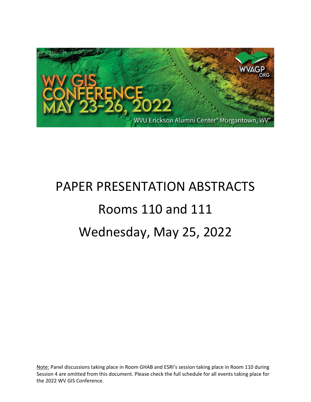

# PAPER PRESENTATION ABSTRACTS Rooms 110 and 111 Wednesday, May 25, 2022

Note: Panel discussions taking place in Room GHAB and ESRI's session taking place in Room 110 during Session 4 are omitted from this document. Please check the full schedule for all events taking place for the 2022 WV GIS Conference.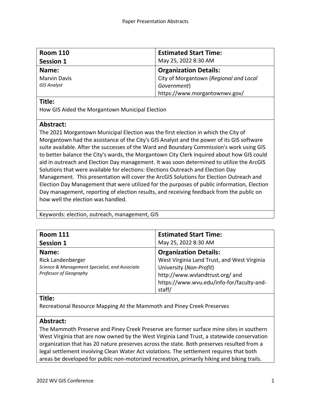| <b>Room 110</b>     | <b>Estimated Start Time:</b>           |
|---------------------|----------------------------------------|
| <b>Session 1</b>    | May 25, 2022 8:30 AM                   |
| Name:               | <b>Organization Details:</b>           |
| <b>Marvin Davis</b> | City of Morgantown (Regional and Local |
| <b>GIS Analyst</b>  | Government)                            |
|                     | https://www.morgantownwv.gov/          |

How GIS Aided the Morgantown Municipal Election

### **Abstract:**

The 2021 Morgantown Municipal Election was the first election in which the City of Morgantown had the assistance of the City's GIS Analyst and the power of its GIS software suite available. After the successes of the Ward and Boundary Commission's work using GIS to better balance the City's wards, the Morgantown City Clerk inquired about how GIS could aid in outreach and Election Day management. It was soon determined to utilize the ArcGIS Solutions that were available for elections: Elections Outreach and Election Day Management. This presentation will cover the ArcGIS Solutions for Election Outreach and Election Day Management that were utilized for the purposes of public information, Election Day management, reporting of election results, and receiving feedback from the public on how well the election was handled.

Keywords: election, outreach, management, GIS

| <b>Room 111</b>                                | <b>Estimated Start Time:</b>                |
|------------------------------------------------|---------------------------------------------|
| <b>Session 1</b>                               | May 25, 2022 8:30 AM                        |
| Name:                                          | <b>Organization Details:</b>                |
| <b>Rick Landenberger</b>                       | West Virginia Land Trust, and West Virginia |
| Science & Management Specialist, and Associate | University (Non-Profit)                     |
| Professor of Geography                         | http://www.wvlandtrust.org/ and             |
|                                                | https://www.wvu.edu/info-for/faculty-and-   |
|                                                | staff/                                      |

### **Title:**

Recreational Resource Mapping At the Mammoth and Piney Creek Preserves

### **Abstract:**

The Mammoth Preserve and Piney Creek Preserve are former surface mine sites in southern West Virginia that are now owned by the West Virginia Land Trust, a statewide conservation organization that has 20 nature preserves across the state. Both preserves resulted from a legal settlement involving Clean Water Act violations. The settlement requires that both areas be developed for public non-motorized recreation, primarily hiking and biking trails.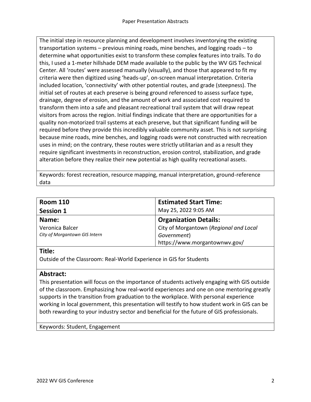The initial step in resource planning and development involves inventorying the existing transportation systems – previous mining roads, mine benches, and logging roads – to determine what opportunities exist to transform these complex features into trails. To do this, I used a 1-meter hillshade DEM made available to the public by the WV GIS Technical Center. All 'routes' were assessed manually (visually), and those that appeared to fit my criteria were then digitized using 'heads-up', on-screen manual interpretation. Criteria included location, 'connectivity' with other potential routes, and grade (steepness). The initial set of routes at each preserve is being ground referenced to assess surface type, drainage, degree of erosion, and the amount of work and associated cost required to transform them into a safe and pleasant recreational trail system that will draw repeat visitors from across the region. Initial findings indicate that there are opportunities for a quality non-motorized trail systems at each preserve, but that significant funding will be required before they provide this incredibly valuable community asset. This is not surprising because mine roads, mine benches, and logging roads were not constructed with recreation uses in mind; on the contrary, these routes were strictly utilitarian and as a result they require significant investments in reconstruction, erosion control, stabilization, and grade alteration before they realize their new potential as high quality recreational assets.

Keywords: forest recreation, resource mapping, manual interpretation, ground-reference data

| <b>Room 110</b>               | <b>Estimated Start Time:</b>           |
|-------------------------------|----------------------------------------|
| <b>Session 1</b>              | May 25, 2022 9:05 AM                   |
| Name:                         | <b>Organization Details:</b>           |
| Veronica Balcer               | City of Morgantown (Regional and Local |
| City of Morgantown GIS Intern | Government)                            |
|                               | https://www.morgantownwv.gov/          |

### **Title:**

Outside of the Classroom: Real-World Experience in GIS for Students

### **Abstract:**

This presentation will focus on the importance of students actively engaging with GIS outside of the classroom. Emphasizing how real-world experiences and one on one mentoring greatly supports in the transition from graduation to the workplace. With personal experience working in local government, this presentation will testify to how student work in GIS can be both rewarding to your industry sector and beneficial for the future of GIS professionals.

Keywords: Student, Engagement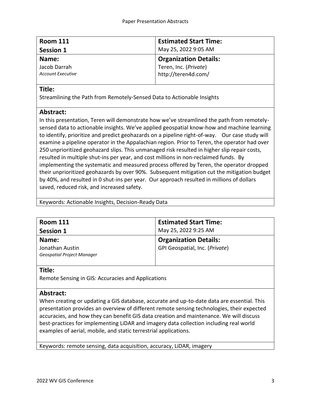| <b>Room 111</b>          | <b>Estimated Start Time:</b> |
|--------------------------|------------------------------|
| <b>Session 1</b>         | May 25, 2022 9:05 AM         |
| Name:                    | <b>Organization Details:</b> |
| Jacob Darrah             | Teren, Inc. (Private)        |
| <b>Account Executive</b> | http://teren4d.com/          |

Streamlining the Path from Remotely-Sensed Data to Actionable Insights

# **Abstract:**

In this presentation, Teren will demonstrate how we've streamlined the path from remotelysensed data to actionable insights. We've applied geospatial know-how and machine learning to identify, prioritize and predict geohazards on a pipeline right-of-way. Our case study will examine a pipeline operator in the Appalachian region. Prior to Teren, the operator had over 250 unprioritized geohazard slips. This unmanaged risk resulted in higher slip repair costs, resulted in multiple shut-ins per year, and cost millions in non-reclaimed funds. By implementing the systematic and measured process offered by Teren, the operator dropped their unprioritized geohazards by over 90%. Subsequent mitigation cut the mitigation budget by 40%, and resulted in 0 shut-ins per year. Our approach resulted in millions of dollars saved, reduced risk, and increased safety.

Keywords: Actionable Insights, Decision-Ready Data

| <b>Room 111</b>                   | <b>Estimated Start Time:</b>   |
|-----------------------------------|--------------------------------|
| <b>Session 1</b>                  | May 25, 2022 9:25 AM           |
| Name:                             | <b>Organization Details:</b>   |
| Jonathan Austin                   | GPI Geospatial, Inc. (Private) |
| <b>Geospatial Project Manager</b> |                                |
|                                   |                                |

### **Title:**

Remote Sensing in GIS: Accuracies and Applications

# **Abstract:**

When creating or updating a GIS database, accurate and up-to-date data are essential. This presentation provides an overview of different remote sensing technologies, their expected accuracies, and how they can benefit GIS data creation and maintenance. We will discuss best-practices for implementing LiDAR and imagery data collection including real world examples of aerial, mobile, and static terrestrial applications.

Keywords: remote sensing, data acquisition, accuracy, LiDAR, imagery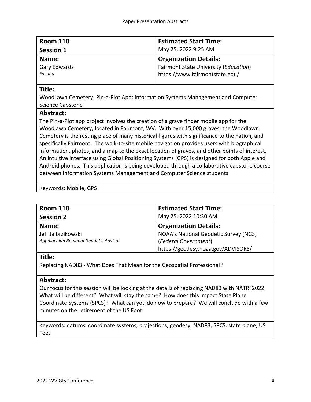| <b>Room 110</b>  | <b>Estimated Start Time:</b>          |
|------------------|---------------------------------------|
| <b>Session 1</b> | May 25, 2022 9:25 AM                  |
| Name:            | <b>Organization Details:</b>          |
| Gary Edwards     | Fairmont State University (Education) |
| Faculty          | https://www.fairmontstate.edu/        |

WoodLawn Cemetery: Pin-a-Plot App: Information Systems Management and Computer Science Capstone

### **Abstract:**

The Pin-a-Plot app project involves the creation of a grave finder mobile app for the Woodlawn Cemetery, located in Fairmont, WV. With over 15,000 graves, the Woodlawn Cemetery is the resting place of many historical figures with significance to the nation, and specifically Fairmont. The walk-to-site mobile navigation provides users with biographical information, photos, and a map to the exact location of graves, and other points of interest. An intuitive interface using Global Positioning Systems (GPS) is designed for both Apple and Android phones. This application is being developed through a collaborative capstone course between Information Systems Management and Computer Science students.

Keywords: Mobile, GPS

| <b>Room 110</b>                       | <b>Estimated Start Time:</b>          |
|---------------------------------------|---------------------------------------|
| <b>Session 2</b>                      | May 25, 2022 10:30 AM                 |
| Name:                                 | <b>Organization Details:</b>          |
| Jeff Jalbrzikowski                    | NOAA's National Geodetic Survey (NGS) |
| Appalachian Regional Geodetic Advisor | (Federal Government)                  |
|                                       | https://geodesy.noaa.gov/ADVISORS/    |

## **Title:**

Replacing NAD83 - What Does That Mean for the Geospatial Professional?

# **Abstract:**

Our focus for this session will be looking at the details of replacing NAD83 with NATRF2022. What will be different? What will stay the same? How does this impact State Plane Coordinate Systems (SPCS)? What can you do now to prepare? We will conclude with a few minutes on the retirement of the US Foot.

Keywords: datums, coordinate systems, projections, geodesy, NAD83, SPCS, state plane, US Feet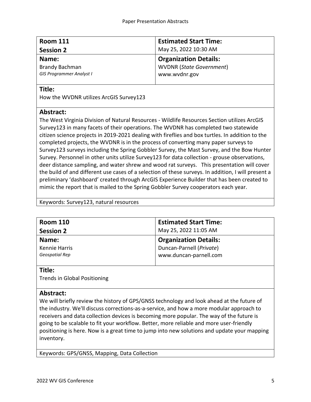| <b>Room 111</b>                 | <b>Estimated Start Time:</b>    |
|---------------------------------|---------------------------------|
| <b>Session 2</b>                | May 25, 2022 10:30 AM           |
| Name:                           | <b>Organization Details:</b>    |
| <b>Brandy Bachman</b>           | <b>WVDNR (State Government)</b> |
| <b>GIS Programmer Analyst I</b> | www.wvdnr.gov                   |
|                                 |                                 |

How the WVDNR utilizes ArcGIS Survey123

### **Abstract:**

The West Virginia Division of Natural Resources - Wildlife Resources Section utilizes ArcGIS Survey123 in many facets of their operations. The WVDNR has completed two statewide citizen science projects in 2019-2021 dealing with fireflies and box turtles. In addition to the completed projects, the WVDNR is in the process of converting many paper surveys to Survey123 surveys including the Spring Gobbler Survey, the Mast Survey, and the Bow Hunter Survey. Personnel in other units utilize Survey123 for data collection - grouse observations, deer distance sampling, and water shrew and wood rat surveys. This presentation will cover the build of and different use cases of a selection of these surveys. In addition, I will present a preliminary 'dashboard' created through ArcGIS Experience Builder that has been created to mimic the report that is mailed to the Spring Gobbler Survey cooperators each year.

| Keywords: Survey123, natural resources |  |
|----------------------------------------|--|
|----------------------------------------|--|

| <b>Room 110</b>  | <b>Estimated Start Time:</b> |
|------------------|------------------------------|
| <b>Session 2</b> | May 25, 2022 11:05 AM        |
| Name:            | <b>Organization Details:</b> |
| Kennie Harris    | Duncan-Parnell (Private)     |
| Geospatial Rep   | www.duncan-parnell.com       |
|                  |                              |

### **Title:**

Trends in Global Positioning

### **Abstract:**

We will briefly review the history of GPS/GNSS technology and look ahead at the future of the industry. We'll discuss corrections-as-a-service, and how a more modular approach to receivers and data collection devices is becoming more popular. The way of the future is going to be scalable to fit your workflow. Better, more reliable and more user-friendly positioning is here. Now is a great time to jump into new solutions and update your mapping inventory.

Keywords: GPS/GNSS, Mapping, Data Collection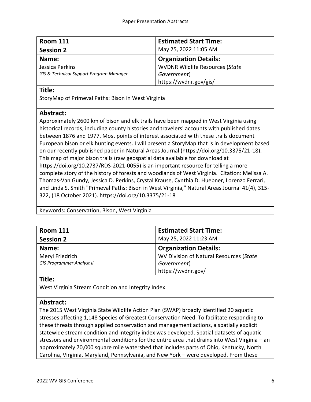| <b>Room 111</b>                         | <b>Estimated Start Time:</b>           |
|-----------------------------------------|----------------------------------------|
| <b>Session 2</b>                        | May 25, 2022 11:05 AM                  |
| Name:                                   | <b>Organization Details:</b>           |
| Jessica Perkins                         | <b>WVDNR Wildlife Resources (State</b> |
| GIS & Technical Support Program Manager | Government)                            |
|                                         | https://wvdnr.gov/gis/                 |

StoryMap of Primeval Paths: Bison in West Virginia

# **Abstract:**

Approximately 2600 km of bison and elk trails have been mapped in West Virginia using historical records, including county histories and travelers' accounts with published dates between 1876 and 1977. Most points of interest associated with these trails document European bison or elk hunting events. I will present a StoryMap that is in development based on our recently published paper in Natural Areas Journal (https://doi.org/10.3375/21-18). This map of major bison trails (raw geospatial data available for download at https://doi.org/10.2737/RDS-2021-0055) is an important resource for telling a more complete story of the history of forests and woodlands of West Virginia. Citation: Melissa A. Thomas-Van Gundy, Jessica D. Perkins, Crystal Krause, Cynthia D. Huebner, Lorenzo Ferrari, and Linda S. Smith "Primeval Paths: Bison in West Virginia," Natural Areas Journal 41(4), 315- 322, (18 October 2021). https://doi.org/10.3375/21-18

Keywords: Conservation, Bison, West Virginia

| <b>Room 111</b>                  | <b>Estimated Start Time:</b>            |
|----------------------------------|-----------------------------------------|
| <b>Session 2</b>                 | May 25, 2022 11:23 AM                   |
| Name:                            | <b>Organization Details:</b>            |
| Meryl Friedrich                  | WV Division of Natural Resources (State |
| <b>GIS Programmer Analyst II</b> | Government)                             |
|                                  | https://wvdnr.gov/                      |

# **Title:**

West Virginia Stream Condition and Integrity Index

# **Abstract:**

The 2015 West Virginia State Wildlife Action Plan (SWAP) broadly identified 20 aquatic stresses affecting 1,148 Species of Greatest Conservation Need. To facilitate responding to these threats through applied conservation and management actions, a spatially explicit statewide stream condition and integrity index was developed. Spatial datasets of aquatic stressors and environmental conditions for the entire area that drains into West Virginia – an approximately 70,000 square mile watershed that includes parts of Ohio, Kentucky, North Carolina, Virginia, Maryland, Pennsylvania, and New York – were developed. From these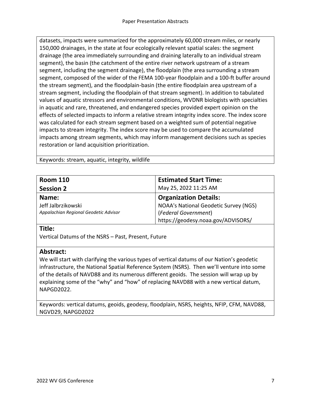datasets, impacts were summarized for the approximately 60,000 stream miles, or nearly 150,000 drainages, in the state at four ecologically relevant spatial scales: the segment drainage (the area immediately surrounding and draining laterally to an individual stream segment), the basin (the catchment of the entire river network upstream of a stream segment, including the segment drainage), the floodplain (the area surrounding a stream segment, composed of the wider of the FEMA 100-year floodplain and a 100-ft buffer around the stream segment), and the floodplain-basin (the entire floodplain area upstream of a stream segment, including the floodplain of that stream segment). In addition to tabulated values of aquatic stressors and environmental conditions, WVDNR biologists with specialties in aquatic and rare, threatened, and endangered species provided expert opinion on the effects of selected impacts to inform a relative stream integrity index score. The index score was calculated for each stream segment based on a weighted sum of potential negative impacts to stream integrity. The index score may be used to compare the accumulated impacts among stream segments, which may inform management decisions such as species restoration or land acquisition prioritization.

Keywords: stream, aquatic, integrity, wildlife

| <b>Room 110</b>                       | <b>Estimated Start Time:</b>          |
|---------------------------------------|---------------------------------------|
| <b>Session 2</b>                      | May 25, 2022 11:25 AM                 |
| Name:                                 | <b>Organization Details:</b>          |
| Jeff Jalbrzikowski                    | NOAA's National Geodetic Survey (NGS) |
| Appalachian Regional Geodetic Advisor | (Federal Government)                  |
|                                       | https://geodesy.noaa.gov/ADVISORS/    |

#### **Title:**

Vertical Datums of the NSRS – Past, Present, Future

### **Abstract:**

We will start with clarifying the various types of vertical datums of our Nation's geodetic infrastructure, the National Spatial Reference System (NSRS). Then we'll venture into some of the details of NAVD88 and its numerous different geoids. The session will wrap up by explaining some of the "why" and "how" of replacing NAVD88 with a new vertical datum, NAPGD2022.

Keywords: vertical datums, geoids, geodesy, floodplain, NSRS, heights, NFIP, CFM, NAVD88, NGVD29, NAPGD2022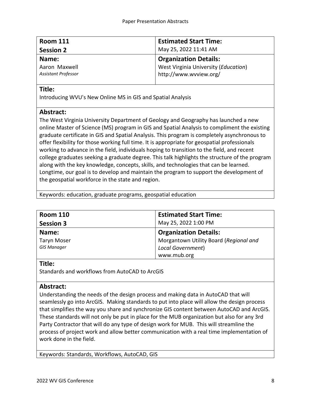| <b>Estimated Start Time:</b>         |
|--------------------------------------|
| May 25, 2022 11:41 AM                |
| <b>Organization Details:</b>         |
| West Virginia University (Education) |
| http://www.wvview.org/               |
|                                      |

Introducing WVU's New Online MS in GIS and Spatial Analysis

# **Abstract:**

The West Virginia University Department of Geology and Geography has launched a new online Master of Science (MS) program in GIS and Spatial Analysis to compliment the existing graduate certificate in GIS and Spatial Analysis. This program is completely asynchronous to offer flexibility for those working full time. It is appropriate for geospatial professionals working to advance in the field, individuals hoping to transition to the field, and recent college graduates seeking a graduate degree. This talk highlights the structure of the program along with the key knowledge, concepts, skills, and technologies that can be learned. Longtime, our goal is to develop and maintain the program to support the development of the geospatial workforce in the state and region.

Keywords: education, graduate programs, geospatial education

| <b>Room 110</b>    | <b>Estimated Start Time:</b>           |
|--------------------|----------------------------------------|
| <b>Session 3</b>   | May 25, 2022 1:00 PM                   |
| Name:              | <b>Organization Details:</b>           |
| <b>Taryn Moser</b> | Morgantown Utility Board (Regional and |
| <b>GIS Manager</b> | <b>Local Government)</b>               |
|                    | www.mub.org                            |

## **Title:**

Standards and workflows from AutoCAD to ArcGIS

# **Abstract:**

Understanding the needs of the design process and making data in AutoCAD that will seamlessly go into ArcGIS. Making standards to put into place will allow the design process that simplifies the way you share and synchronize GIS content between AutoCAD and ArcGIS. These standards will not only be put in place for the MUB organization but also for any 3rd Party Contractor that will do any type of design work for MUB. This will streamline the process of project work and allow better communication with a real time implementation of work done in the field.

Keywords: Standards, Workflows, AutoCAD, GIS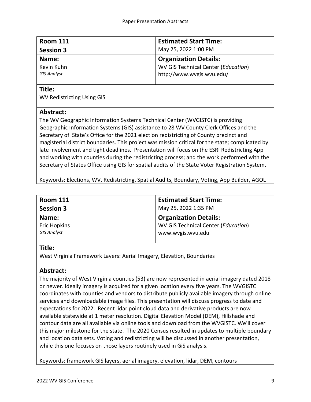| <b>Room 111</b>    | <b>Estimated Start Time:</b>        |
|--------------------|-------------------------------------|
| <b>Session 3</b>   | May 25, 2022 1:00 PM                |
| Name:              | <b>Organization Details:</b>        |
| Kevin Kuhn         | WV GIS Technical Center (Education) |
| <b>GIS Analyst</b> | http://www.wvgis.wvu.edu/           |
|                    |                                     |

WV Redistricting Using GIS

## **Abstract:**

The WV Geographic Information Systems Technical Center (WVGISTC) is providing Geographic Information Systems (GIS) assistance to 28 WV County Clerk Offices and the Secretary of State's Office for the 2021 election redistricting of County precinct and magisterial district boundaries. This project was mission critical for the state; complicated by late involvement and tight deadlines. Presentation will focus on the ESRI Redistricting App and working with counties during the redistricting process; and the work performed with the Secretary of States Office using GIS for spatial audits of the State Voter Registration System.

Keywords: Elections, WV, Redistricting, Spatial Audits, Boundary, Voting, App Builder, AGOL

| <b>Room 111</b>     | <b>Estimated Start Time:</b>        |
|---------------------|-------------------------------------|
| <b>Session 3</b>    | May 25, 2022 1:35 PM                |
| Name:               | <b>Organization Details:</b>        |
| <b>Eric Hopkins</b> | WV GIS Technical Center (Education) |
| <b>GIS Analyst</b>  | www.wvgis.wvu.edu                   |
|                     |                                     |

# **Title:**

West Virginia Framework Layers: Aerial Imagery, Elevation, Boundaries

# **Abstract:**

The majority of West Virginia counties (53) are now represented in aerial imagery dated 2018 or newer. Ideally imagery is acquired for a given location every five years. The WVGISTC coordinates with counties and vendors to distribute publicly available imagery through online services and downloadable image files. This presentation will discuss progress to date and expectations for 2022. Recent lidar point cloud data and derivative products are now available statewide at 1 meter resolution. Digital Elevation Model (DEM), Hillshade and contour data are all available via online tools and download from the WVGISTC. We'll cover this major milestone for the state. The 2020 Census resulted in updates to multiple boundary and location data sets. Voting and redistricting will be discussed in another presentation, while this one focuses on those layers routinely used in GiS analysis.

Keywords: framework GIS layers, aerial imagery, elevation, lidar, DEM, contours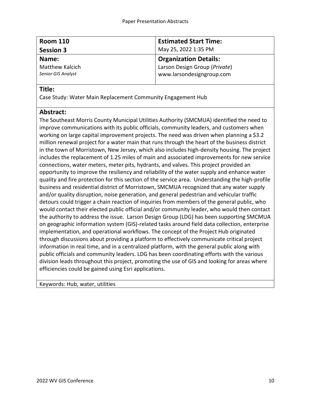| <b>Room 110</b>           | <b>Estimated Start Time:</b>  |
|---------------------------|-------------------------------|
| <b>Session 3</b>          | May 25, 2022 1:35 PM          |
| Name:                     | <b>Organization Details:</b>  |
| <b>Matthew Kalcich</b>    | Larson Design Group (Private) |
| <b>Senior GIS Analyst</b> | www.larsondesigngroup.com     |

Case Study: Water Main Replacement Community Engagement Hub

## **Abstract:**

The Southeast Morris County Municipal Utilities Authority (SMCMUA) identified the need to improve communications with its public officials, community leaders, and customers when working on large capital improvement projects. The need was driven when planning a \$3.2 million renewal project for a water main that runs through the heart of the business district in the town of Morristown, New Jersey, which also includes high-density housing. The project includes the replacement of 1.25 miles of main and associated improvements for new service connections, water meters, meter pits, hydrants, and valves. This project provided an opportunity to improve the resiliency and reliability of the water supply and enhance water quality and fire protection for this section of the service area. Understanding the high-profile business and residential district of Morristown, SMCMUA recognized that any water supply and/or quality disruption, noise generation, and general pedestrian and vehicular traffic detours could trigger a chain reaction of inquiries from members of the general public, who would contact their elected public official and/or community leader, who would then contact the authority to address the issue. Larson Design Group (LDG) has been supporting SMCMUA on geographic information system (GIS)-related tasks around field data collection, enterprise implementation, and operational workflows. The concept of the Project Hub originated through discussions about providing a platform to effectively communicate critical project information in real time, and in a centralized platform, with the general public along with public officials and community leaders. LDG has been coordinating efforts with the various division leads throughout this project, promoting the use of GIS and looking for areas where efficiencies could be gained using Esri applications.

Keywords: Hub, water, utilities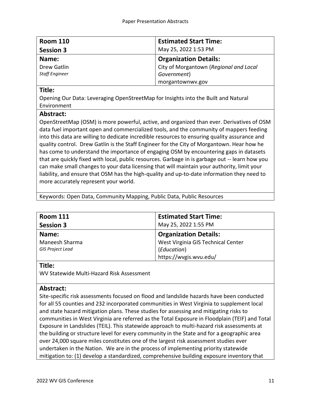| <b>Room 110</b>       | <b>Estimated Start Time:</b>           |
|-----------------------|----------------------------------------|
| <b>Session 3</b>      | May 25, 2022 1:53 PM                   |
| Name:                 | <b>Organization Details:</b>           |
| Drew Gatlin           | City of Morgantown (Regional and Local |
| <b>Staff Engineer</b> | Government)                            |
|                       | morgantownwv.gov                       |

Opening Our Data: Leveraging OpenStreetMap for Insights into the Built and Natural Environment

## **Abstract:**

OpenStreetMap (OSM) is more powerful, active, and organized than ever. Derivatives of OSM data fuel important open and commercialized tools, and the community of mappers feeding into this data are willing to dedicate incredible resources to ensuring quality assurance and quality control. Drew Gatlin is the Staff Engineer for the City of Morgantown. Hear how he has come to understand the importance of engaging OSM by encountering gaps in datasets that are quickly fixed with local, public resources. Garbage in is garbage out -- learn how you can make small changes to your data licensing that will maintain your authority, limit your liability, and ensure that OSM has the high-quality and up-to-date information they need to more accurately represent your world.

Keywords: Open Data, Community Mapping, Public Data, Public Resources

| <b>Room 111</b>         | <b>Estimated Start Time:</b>       |
|-------------------------|------------------------------------|
| <b>Session 3</b>        | May 25, 2022 1:55 PM               |
| Name:                   | <b>Organization Details:</b>       |
| Maneesh Sharma          | West Virginia GIS Technical Center |
| <b>GIS Project Lead</b> | (Education)                        |
|                         | https://wvgis.wvu.edu/             |

### **Title:**

WV Statewide Multi-Hazard Risk Assessment

# **Abstract:**

Site-specific risk assessments focused on flood and landslide hazards have been conducted for all 55 counties and 232 incorporated communities in West Virginia to supplement local and state hazard mitigation plans. These studies for assessing and mitigating risks to communities in West Virginia are referred as the Total Exposure in Floodplain (TEIF) and Total Exposure in Landslides (TEIL). This statewide approach to multi-hazard risk assessments at the building or structure level for every community in the State and for a geographic area over 24,000 square miles constitutes one of the largest risk assessment studies ever undertaken in the Nation. We are in the process of implementing priority statewide mitigation to: (1) develop a standardized, comprehensive building exposure inventory that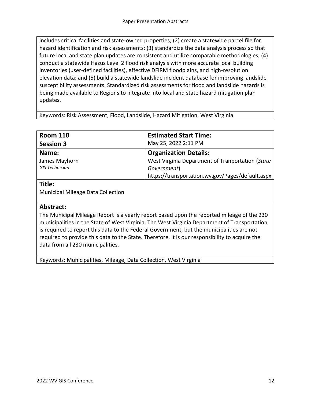includes critical facilities and state-owned properties; (2) create a statewide parcel file for hazard identification and risk assessments; (3) standardize the data analysis process so that future local and state plan updates are consistent and utilize comparable methodologies; (4) conduct a statewide Hazus Level 2 flood risk analysis with more accurate local building inventories (user-defined facilities), effective DFIRM floodplains, and high-resolution elevation data; and (5) build a statewide landslide incident database for improving landslide susceptibility assessments. Standardized risk assessments for flood and landslide hazards is being made available to Regions to integrate into local and state hazard mitigation plan updates.

Keywords: Risk Assessment, Flood, Landslide, Hazard Mitigation, West Virginia

| <b>Estimated Start Time:</b>                     |
|--------------------------------------------------|
| May 25, 2022 2:11 PM                             |
| <b>Organization Details:</b>                     |
| West Virginia Department of Tranportation (State |
| Government)                                      |
| https://transportation.wv.gov/Pages/default.aspx |
|                                                  |

# **Title:**

Municipal Mileage Data Collection

### **Abstract:**

The Municipal Mileage Report is a yearly report based upon the reported mileage of the 230 municipalities in the State of West Virginia. The West Virginia Department of Transportation is required to report this data to the Federal Government, but the municipalities are not required to provide this data to the State. Therefore, it is our responsibility to acquire the data from all 230 municipalities.

Keywords: Municipalities, Mileage, Data Collection, West Virginia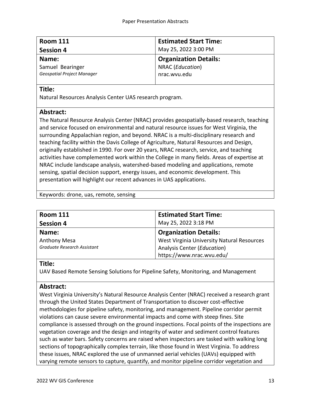| <b>Room 111</b>                   | <b>Estimated Start Time:</b> |
|-----------------------------------|------------------------------|
| <b>Session 4</b>                  | May 25, 2022 3:00 PM         |
| Name:                             | <b>Organization Details:</b> |
| Samuel Bearinger                  | NRAC (Education)             |
| <b>Geospatial Project Manager</b> | nrac.wvu.edu                 |
|                                   |                              |

Natural Resources Analysis Center UAS research program.

# **Abstract:**

The Natural Resource Analysis Center (NRAC) provides geospatially-based research, teaching and service focused on environmental and natural resource issues for West Virginia, the surrounding Appalachian region, and beyond. NRAC is a multi-disciplinary research and teaching facility within the Davis College of Agriculture, Natural Resources and Design, originally established in 1990. For over 20 years, NRAC research, service, and teaching activities have complemented work within the College in many fields. Areas of expertise at NRAC include landscape analysis, watershed-based modeling and applications, remote sensing, spatial decision support, energy issues, and economic development. This presentation will highlight our recent advances in UAS applications.

Keywords: drone, uas, remote, sensing

| <b>Room 111</b>             | <b>Estimated Start Time:</b>               |
|-----------------------------|--------------------------------------------|
| <b>Session 4</b>            | May 25, 2022 3:18 PM                       |
| Name:                       | <b>Organization Details:</b>               |
| <b>Anthony Mesa</b>         | West Virginia University Natural Resources |
| Graduate Research Assistant | Analysis Center (Education)                |
|                             | https://www.nrac.wvu.edu/                  |

## **Title:**

UAV Based Remote Sensing Solutions for Pipeline Safety, Monitoring, and Management

# **Abstract:**

West Virginia University's Natural Resource Analysis Center (NRAC) received a research grant through the United States Department of Transportation to discover cost-effective methodologies for pipeline safety, monitoring, and management. Pipeline corridor permit violations can cause severe environmental impacts and come with steep fines. Site compliance is assessed through on the ground inspections. Focal points of the inspections are vegetation coverage and the design and integrity of water and sediment control features such as water bars. Safety concerns are raised when inspectors are tasked with walking long sections of topographically complex terrain, like those found in West Virginia. To address these issues, NRAC explored the use of unmanned aerial vehicles (UAVs) equipped with varying remote sensors to capture, quantify, and monitor pipeline corridor vegetation and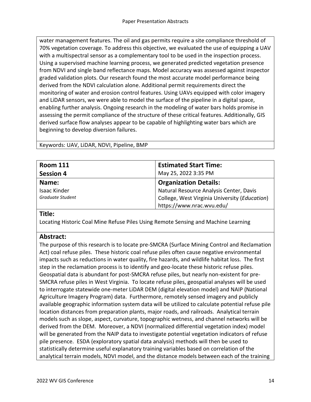water management features. The oil and gas permits require a site compliance threshold of 70% vegetation coverage. To address this objective, we evaluated the use of equipping a UAV with a multispectral sensor as a complementary tool to be used in the inspection process. Using a supervised machine learning process, we generated predicted vegetation presence from NDVI and single band reflectance maps. Model accuracy was assessed against inspector graded validation plots. Our research found the most accurate model performance being derived from the NDVI calculation alone. Additional permit requirements direct the monitoring of water and erosion control features. Using UAVs equipped with color imagery and LiDAR sensors, we were able to model the surface of the pipeline in a digital space, enabling further analysis. Ongoing research in the modeling of water bars holds promise in assessing the permit compliance of the structure of these critical features. Additionally, GIS derived surface flow analyses appear to be capable of highlighting water bars which are beginning to develop diversion failures.

Keywords: UAV, LiDAR, NDVI, Pipeline, BMP

| <b>Room 111</b>     | <b>Estimated Start Time:</b>                  |
|---------------------|-----------------------------------------------|
| <b>Session 4</b>    | May 25, 2022 3:35 PM                          |
| Name:               | <b>Organization Details:</b>                  |
| <b>Isaac Kinder</b> | Natural Resource Analysis Center, Davis       |
| Graduate Student    | College, West Virginia University (Education) |
|                     | https://www.nrac.wvu.edu/                     |

### **Title:**

Locating Historic Coal Mine Refuse Piles Using Remote Sensing and Machine Learning

# **Abstract:**

The purpose of this research is to locate pre-SMCRA (Surface Mining Control and Reclamation Act) coal refuse piles. These historic coal refuse piles often cause negative environmental impacts such as reductions in water quality, fire hazards, and wildlife habitat loss. The first step in the reclamation process is to identify and geo-locate these historic refuse piles. Geospatial data is abundant for post-SMCRA refuse piles, but nearly non-existent for pre-SMCRA refuse piles in West Virginia. To locate refuse piles, geospatial analyses will be used to interrogate statewide one-meter LiDAR DEM (digital elevation model) and NAIP (National Agriculture Imagery Program) data. Furthermore, remotely sensed imagery and publicly available geographic information system data will be utilized to calculate potential refuse pile location distances from preparation plants, major roads, and railroads. Analytical terrain models such as slope, aspect, curvature, topographic wetness, and channel networks will be derived from the DEM. Moreover, a NDVI (normalized differential vegetation index) model will be generated from the NAIP data to investigate potential vegetation indicators of refuse pile presence. ESDA (exploratory spatial data analysis) methods will then be used to statistically determine useful explanatory training variables based on correlation of the analytical terrain models, NDVI model, and the distance models between each of the training